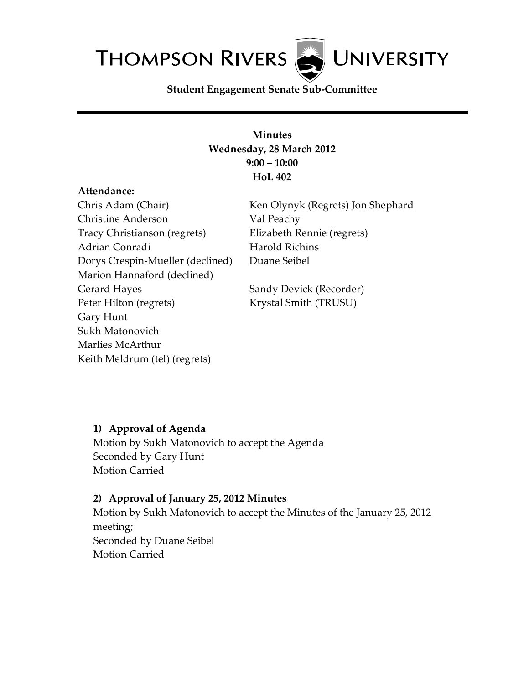

**Student Engagement Senate Sub-Committee**

## **Minutes Wednesday, 28 March 2012 9:00 – 10:00 HoL 402**

#### **Attendance:**

Chris Adam (Chair) Christine Anderson Tracy Christianson (regrets) Adrian Conradi Dorys Crespin-Mueller (declined) Marion Hannaford (declined) Gerard Hayes Peter Hilton (regrets) Gary Hunt Sukh Matonovich Marlies McArthur Keith Meldrum (tel) (regrets)

Ken Olynyk (Regrets) Jon Shephard Val Peachy Elizabeth Rennie (regrets) Harold Richins Duane Seibel

Sandy Devick (Recorder) Krystal Smith (TRUSU)

## **1) Approval of Agenda**

Motion by Sukh Matonovich to accept the Agenda Seconded by Gary Hunt Motion Carried

### **2) Approval of January 25, 2012 Minutes**

Motion by Sukh Matonovich to accept the Minutes of the January 25, 2012 meeting; Seconded by Duane Seibel Motion Carried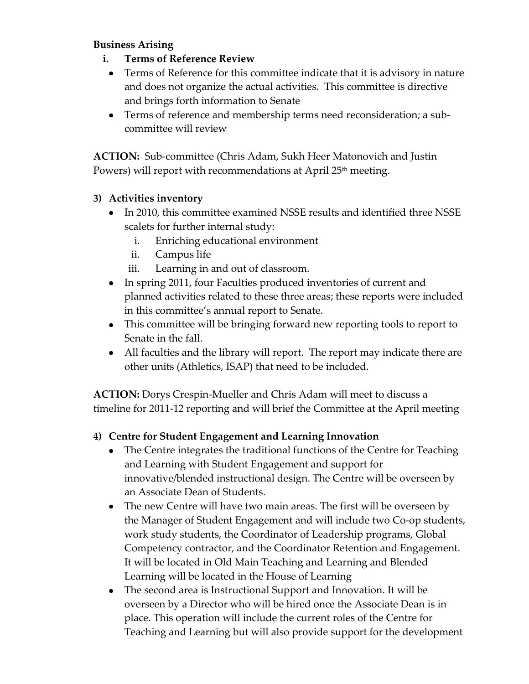## **Business Arising**

- **i. Terms of Reference Review**
	- Terms of Reference for this committee indicate that it is advisory in nature and does not organize the actual activities. This committee is directive and brings forth information to Senate
	- Terms of reference and membership terms need reconsideration; a subcommittee will review

**ACTION:** Sub-committee (Chris Adam, Sukh Heer Matonovich and Justin Powers) will report with recommendations at April 25<sup>th</sup> meeting.

## **3) Activities inventory**

- In 2010, this committee examined NSSE results and identified three NSSE scalets for further internal study:
	- i. Enriching educational environment
	- ii. Campus life
	- iii. Learning in and out of classroom.
- In spring 2011, four Faculties produced inventories of current and planned activities related to these three areas; these reports were included in this committee's annual report to Senate.
- This committee will be bringing forward new reporting tools to report to Senate in the fall.
- All faculties and the library will report. The report may indicate there are other units (Athletics, ISAP) that need to be included.

**ACTION:** Dorys Crespin-Mueller and Chris Adam will meet to discuss a timeline for 2011-12 reporting and will brief the Committee at the April meeting

# **4) Centre for Student Engagement and Learning Innovation**

- The Centre integrates the traditional functions of the Centre for Teaching  $\bullet$ and Learning with Student Engagement and support for innovative/blended instructional design. The Centre will be overseen by an Associate Dean of Students.
- The new Centre will have two main areas. The first will be overseen by the Manager of Student Engagement and will include two Co-op students, work study students, the Coordinator of Leadership programs, Global Competency contractor, and the Coordinator Retention and Engagement. It will be located in Old Main Teaching and Learning and Blended Learning will be located in the House of Learning
- The second area is Instructional Support and Innovation. It will be overseen by a Director who will be hired once the Associate Dean is in place. This operation will include the current roles of the Centre for Teaching and Learning but will also provide support for the development